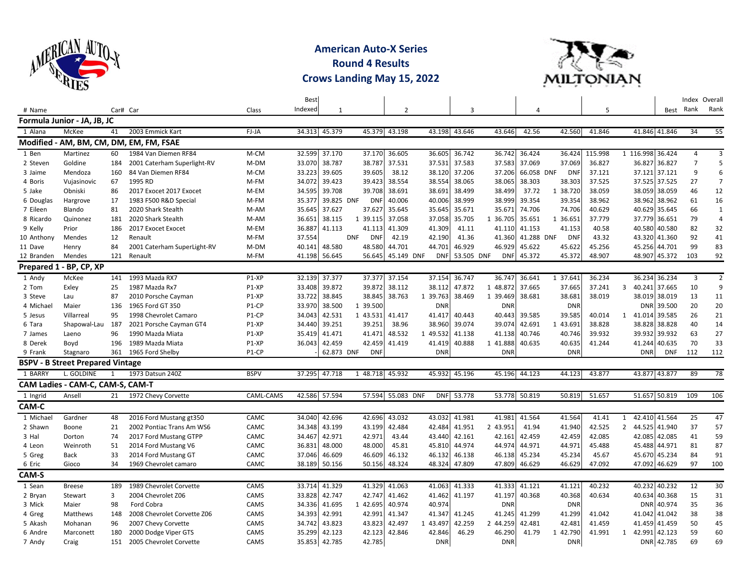

**American Auto-X Series Round 4 Results Crows Landing May 15, 2022**



|            |                                         |              |                                         |                    | <b>Best</b> |              |                          |                   |            |               |               |            |            |         |                  |               | Index Overall  |                |
|------------|-----------------------------------------|--------------|-----------------------------------------|--------------------|-------------|--------------|--------------------------|-------------------|------------|---------------|---------------|------------|------------|---------|------------------|---------------|----------------|----------------|
| # Name     |                                         | Car# Car     |                                         | Class              | Indexed     | $\mathbf{1}$ |                          | 2                 |            | 3             |               | 4          |            | 5       |                  |               | Best Rank      | Rank           |
|            | Formula Junior - JA, JB, JC             |              |                                         |                    |             |              |                          |                   |            |               |               |            |            |         |                  |               |                |                |
| 1 Alana    | McKee                                   | 41           | 2003 Emmick Kart                        | FJ-JA              | 34.313      | 45.379       | 45.379                   | 43.198            |            | 43.198 43.646 | 43.646        | 42.56      | 42.560     | 41.846  |                  | 41.846 41.846 | 34             | 55             |
|            |                                         |              | Modified - AM, BM, CM, DM, EM, FM, FSAE |                    |             |              |                          |                   |            |               |               |            |            |         |                  |               |                |                |
| 1 Ben      | Martinez                                | 60           | 1984 Van Diemen RF84                    | M-CM               | 32.599      | 37.170       | 37.170                   | 36.605            | 36.605     | 36.742        | 36.742        | 36.424     | 36.424     | 115.998 | 1 116.998 36.424 |               | $\overline{a}$ | 3              |
| 2 Steven   | Goldine                                 | 184          | 2001 Caterham Superlight-RV             | M-DM               | 33.070      | 38.787       | 38.787                   | 37.531            | 37.531     | 37.583        | 37.583        | 37.069     | 37.069     | 36.827  | 36.827           | 36.827        | $\overline{7}$ | 5              |
| 3 Jaime    | Mendoza                                 | 160          | 84 Van Diemen RF84                      | M-CM               | 33.223      | 39.605       | 39.605                   | 38.12             | 38.120     | 37.206        | 37.206        | 66.058 DNF | <b>DNF</b> | 37.121  |                  | 37.121 37.121 | 9              | 6              |
| 4 Boris    | Vujasinovic                             | 67           | 1995 RD                                 | M-FM               | 34.072      | 39.423       | 39.423                   | 38.554            | 38.554     | 38.065        | 38.065        | 38.303     | 38.303     | 37.525  |                  | 37.525 37.525 | 27             | $\overline{7}$ |
| 5 Jake     | Obniski                                 | 86           | 2017 Exocet 2017 Exocet                 | M-EM               | 34.595      | 39.708       | 39.708                   | 38.691            | 38.691     | 38.499        | 38.499        | 37.72      | 1 38.720   | 38.059  |                  | 38.059 38.059 | 46             | 12             |
| 6 Douglas  | Hargrove                                | 17           | 1983 F500 R&D Special                   | M-FM               | 35.377      | 39.825 DNF   | DNI                      | 40.006            | 40.006     | 38.999        | 38.999        | 39.354     | 39.354     | 38.962  |                  | 38.962 38.962 | 61             | 16             |
| 7 Eileen   | Blando                                  | 81           | 2020 Shark Stealth                      | M-AM               | 35.645      | 37.627       | 37.627                   | 35.645            | 35.645     | 35.671        | 35.671        | 74.706     | 74.706     | 40.629  |                  | 40.629 35.645 | 66             | $\mathbf{1}$   |
| 8 Ricardo  | Quinonez                                | 181          | 2020 Shark Stealth                      | M-AM               | 36.651      | 38.115       | 1 39.115                 | 37.058            | 37.058     | 35.705        | 1 36.705      | 35.651     | 1 36.651   | 37.779  |                  | 37.779 36.651 | 79             | $\overline{4}$ |
| 9 Kelly    | Prior                                   | 186          | 2017 Exocet Exocet                      | M-EM               | 36.887      | 41.113       | 41.113                   | 41.309            | 41.309     | 41.11         | 41.110        | 41.153     | 41.153     | 40.58   | 40.580           | 40.580        | 82             | 32             |
| 10 Anthony | Mendes                                  | 12           | Renault                                 | M-FM               | 37.554      |              | <b>DNF</b><br><b>DNF</b> | 42.19             | 42.190     | 41.36         | 41.360        | 41.288 DNF | <b>DNF</b> | 43.32   |                  | 43.320 41.360 | 92             | 41             |
| 11 Dave    | Henry                                   | 84           | 2001 Caterham SuperLight-RV             | M-DM               | 40.141      | 48.580       | 48.580                   | 44.701            | 44.701     | 46.929        | 46.929        | 45.622     | 45.622     | 45.256  | 45.256           | 44.701        | 99             | 83             |
| 12 Branden | Mendes                                  | 121          | Renault                                 | M-FM               | 41.198      | 56.645       | 56.645                   | 45.149 DNF        | <b>DNF</b> | 53.505 DNF    | <b>DNF</b>    | 45.372     | 45.372     | 48.907  |                  | 48.907 45.372 | 103            | 92             |
|            | Prepared 1 - BP, CP, XP                 |              |                                         |                    |             |              |                          |                   |            |               |               |            |            |         |                  |               |                |                |
| 1 Andy     | McKee                                   | 141          | 1993 Mazda RX7                          | P1-XP              | 32.139      | 37.377       | 37.377                   | 37.154            | 37.154     | 36.747        | 36.747        | 36.641     | 1 37.641   | 36.234  |                  | 36.234 36.234 | 3              | $\overline{2}$ |
| 2 Tom      | Exley                                   | 25           | 1987 Mazda Rx7                          | P1-XP              | 33.408      | 39.872       | 39.872                   | 38.112            | 38.112     | 47.872        | 1 48.872      | 37.665     | 37.665     | 37.241  | 3                | 40.241 37.665 | 10             | 9              |
| 3 Steve    | Lau                                     | 87           | 2010 Porsche Cayman                     | P1-XP              | 33.722      | 38.845       | 38.845                   | 38.763            | 1 39.763   | 38.469        | 1 39.469      | 38.681     | 38.681     | 38.019  |                  | 38.019 38.019 | 13             | 11             |
| 4 Michael  | Maier                                   | 136          | 1965 Ford GT 350                        | P1-CP              | 33.970      | 38.500       | 1 39.500                 |                   | <b>DNR</b> |               | <b>DNF</b>    |            | <b>DNR</b> |         |                  | DNR 39.500    | 20             | 20             |
| 5 Jesus    | Villarreal                              | 95           | 1998 Chevrolet Camaro                   | P <sub>1</sub> -CP | 34.043      | 42.531       | 1 43.531                 | 41.417            | 41.417     | 40.443        | 40.443        | 39.585     | 39.585     | 40.014  | $\mathbf{1}$     | 41.014 39.585 | 26             | 21             |
| 6 Tara     | Shapowal-Lau                            | 187          | 2021 Porsche Cayman GT4                 | P1-XP              | 34.440      | 39.251       | 39.251                   | 38.96             | 38.960     | 39.074        | 39.074        | 42.691     | 1 43.691   | 38.828  |                  | 38.828 38.828 | 40             | 14             |
| 7 James    | Laeno                                   | 96           | 1990 Mazda Miata                        | P1-XP              | 35.419      | 41.471       | 41.471                   | 48.532            | 1 49.532   | 41.138        | 41.138        | 40.746     | 40.746     | 39.932  |                  | 39.932 39.932 | 63             | 27             |
| 8 Derek    | Boyd                                    | 196          | 1989 Mazda Miata                        | P1-XP              | 36.043      | 42.459       | 42.459                   | 41.419            | 41.419     | 40.888        | 1 41.888      | 40.635     | 40.635     | 41.244  |                  | 41.244 40.635 | 70             | 33             |
| 9 Frank    | Stagnaro                                | 361          | 1965 Ford Shelby                        | P1-CP              |             | 62.873 DNF   | <b>DNI</b>               |                   | <b>DNR</b> |               | <b>DNF</b>    |            | <b>DNR</b> |         | <b>DNR</b>       | <b>DNF</b>    | 112            | 112            |
|            | <b>BSPV - B Street Prepared Vintage</b> |              |                                         |                    |             |              |                          |                   |            |               |               |            |            |         |                  |               |                |                |
| 1 BARRY    | L. GOLDINE                              | $\mathbf{1}$ | 1973 Datsun 240Z                        | <b>BSPV</b>        | 37.295      | 47.718       | 1 48.718                 | 45.932            | 45.932     | 45.196        | 45.196        | 44.123     | 44.123     | 43.877  |                  | 43.877 43.877 | 89             | 78             |
|            | CAM Ladies - CAM-C, CAM-S, CAM-T        |              |                                         |                    |             |              |                          |                   |            |               |               |            |            |         |                  |               |                |                |
| 1 Ingrid   | Ansell                                  | 21           | 1972 Chevy Corvette                     | CAML-CAMS          | 42.586      | 57.594       |                          | 57.594 55.083 DNF |            | DNF 53.778    | 53.778 50.819 |            | 50.819     | 51.657  |                  | 51.657 50.819 | 109            | 106            |
| CAM-C      |                                         |              |                                         |                    |             |              |                          |                   |            |               |               |            |            |         |                  |               |                |                |
| 1 Michael  | Gardner                                 | 48           | 2016 Ford Mustang gt350                 | CAMC               | 34.040      | 42.696       | 42.696                   | 43.032            | 43.032     | 41.981        | 41.981        | 41.564     | 41.564     | 41.41   | $\mathbf{1}$     | 42.410 41.564 | 25             | 47             |
| 2 Shawn    | Boone                                   | 21           | 2002 Pontiac Trans Am WS6               | CAMC               | 34.348      | 43.199       | 43.199                   | 42.484            | 42.484     | 41.951        | 2 43.951      | 41.94      | 41.940     | 42.525  | $2^{\circ}$      | 44.525 41.940 | 37             | 57             |
| 3 Hal      | Dorton                                  | 74           | 2017 Ford Mustang GTPP                  | CAMC               | 34.467      | 42.971       | 42.971                   | 43.44             | 43.440     | 42.161        | 42.161        | 42.459     | 42.459     | 42.085  |                  | 42.085 42.085 | 41             | 59             |
| 4 Leon     | Weinroth                                | 51           | 2014 Ford Mustang V6                    | CAMC               | 36.831      | 48.000       | 48.000                   | 45.81             | 45.810     | 44.974        | 44.974        | 44.971     | 44.971     | 45.488  | 45.488           | 44.971        | 81             | 87             |
| 5 Greg     | <b>Back</b>                             | 33           | 2014 Ford Mustang GT                    | CAMC               | 37.046      | 46.609       | 46.609                   | 46.132            | 46.132     | 46.138        | 46.138        | 45.234     | 45.234     | 45.67   |                  | 45.670 45.234 | 84             | 91             |
| 6 Eric     | Gioco                                   | 34           | 1969 Chevrolet camaro                   | CAMC               | 38.189      | 50.156       | 50.156                   | 48.324            | 48.324     | 47.809        | 47.809        | 46.629     | 46.629     | 47.092  |                  | 47.092 46.629 | 97             | 100            |
| CAM-S      |                                         |              |                                         |                    |             |              |                          |                   |            |               |               |            |            |         |                  |               |                |                |
| 1 Sean     | <b>Breese</b>                           | 189          | 1989 Chevrolet Corvette                 | CAMS               | 33.714      | 41.329       | 41.329                   | 41.063            | 41.063     | 41.333        | 41.333        | 41.121     | 41.121     | 40.232  |                  | 40.232 40.232 | 12             | 30             |
| 2 Bryan    | Stewart                                 | 3            | 2004 Chevrolet Z06                      | CAMS               | 33.828      | 42.747       | 42.747                   | 41.462            | 41.462     | 41.197        | 41.197        | 40.368     | 40.368     | 40.634  |                  | 40.634 40.368 | 15             | 31             |
| 3 Mick     | Maier                                   | 98           | Ford Cobra                              | CAMS               | 34.336      | 41.695       | 1 42.695                 | 40.974            | 40.974     |               | <b>DNF</b>    |            | <b>DNR</b> |         |                  | DNR 40.974    | 35             | 36             |
| 4 Greg     | Matthews                                | 148          | 2008 Chevrolet Corvette Z06             | CAMS               | 34.393      | 42.991       | 42.991                   | 41.347            | 41.347     | 41.245        | 41.245        | 41.299     | 41.299     | 41.042  |                  | 41.042 41.042 | 38             | 38             |
| 5 Akash    | Mohanan                                 | 96           | 2007 Chevy Corvette                     | CAMS               | 34.742      | 43.823       | 43.823                   | 42.497            | 1 43.497   | 42.259        | 2 44.259      | 42.481     | 42.481     | 41.459  |                  | 41.459 41.459 | 50             | 45             |
| 6 Andre    | Marconett                               | 180          | 2000 Dodge Viper GTS                    | CAMS               | 35.299      | 42.123       | 42.123                   | 42.846            | 42.846     | 46.29         | 46.290        | 41.79      | 1 42.790   | 41.991  | 1                | 42.991 42.123 | 59             | 60             |
| 7 Andy     | Craig                                   | 151          | 2005 Chevrolet Corvette                 | CAMS               | 35.853      | 42.785       | 42.785                   |                   | <b>DNR</b> |               | <b>DNR</b>    |            | <b>DNR</b> |         |                  | DNR 42.785    | 69             | 69             |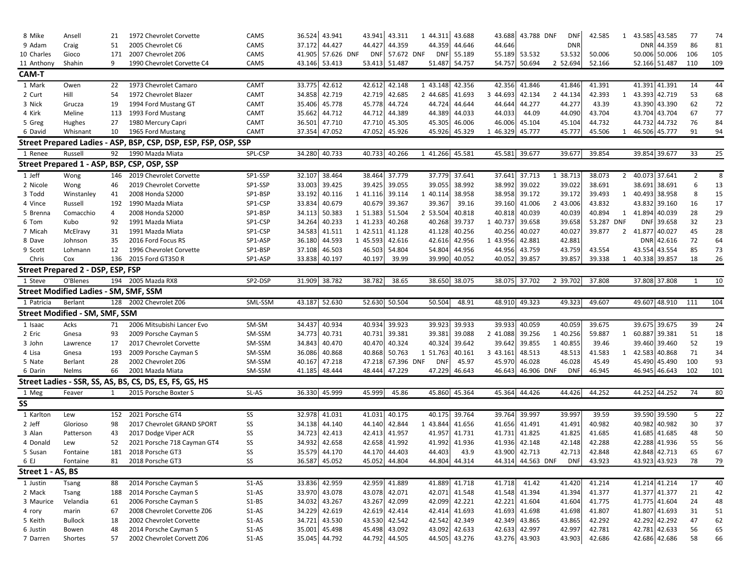| 8 Mike            | Ansell                            | 21           | 1972 Chevrolet Corvette                                         | CAMS             | 36.524           | 43.941           | 43.941           | 43.311           | 1 44.311             | 43.688                  | 43.688             | 43.788 DNF        | <b>DNF</b>           | 42.585           | 1              | 43.585 43.585                  |            | 77       | 74       |
|-------------------|-----------------------------------|--------------|-----------------------------------------------------------------|------------------|------------------|------------------|------------------|------------------|----------------------|-------------------------|--------------------|-------------------|----------------------|------------------|----------------|--------------------------------|------------|----------|----------|
| 9 Adam            | Craig                             | 51           | 2005 Chevrolet C6                                               | CAMS             | 37.172           | 44.427           | 44.427           | 44.359           | 44.359               | 44.646                  | 44.646             |                   | <b>DNR</b>           |                  |                |                                | DNR 44.359 | 86       | 81       |
| 10 Charles        | Gioco                             | 171          | 2007 Chevrolet Z06                                              | CAMS             | 41.905           | 57.626 DNF       | DNI              | 57.672 DNF       | <b>DNI</b>           | 55.189                  | 55.189             | 53.532            | 53.532               | 50.006           |                | 50.006 50.006                  |            | 106      | 105      |
| 11 Anthony        | Shahin                            | 9            | 1990 Chevrolet Corvette C4                                      | CAMS             | 43.146           | 53.413           | 53.413           | 51.487           | 51.487               | 54.757                  | 54.757             | 50.694            | 2 52.694             | 52.166           |                | 52.166 51.487                  |            | 110      | 109      |
| CAM-T             |                                   |              |                                                                 |                  |                  |                  |                  |                  |                      |                         |                    |                   |                      |                  |                |                                |            |          |          |
| 1 Mark            | Owen                              | 22           | 1973 Chevrolet Camaro                                           | CAMT             | 33.775           | 42.612           | 42.612           | 42.148           | 1 43.148             | 42.356                  | 42.356             | 41.846            | 41.846               | 41.391           |                | 41.391 41.391                  |            | 14       | 44       |
| 2 Curt            | Hill                              | 54           | 1972 Chevrolet Blazer                                           | CAMT             | 34.858           | 42.719           | 42.719           | 42.685           | 2 44.685             | 41.693                  | 3 44.693           | 42.134            | 2 44.134             | 42.393           | 1              | 43.393 42.719                  |            | 53       | 68       |
| 3 Nick            | Grucza                            | 19           | 1994 Ford Mustang GT                                            | CAMT             | 35.406           | 45.778           | 45.778           | 44.724           | 44.724               | 44.644                  | 44.644             | 44.277            | 44.277               | 43.39            |                | 43.390 43.390                  |            | 62       | 72       |
| 4 Kirk            | Meline                            | 113          | 1993 Ford Mustang                                               | CAMT             | 35.662           | 44.712           | 44.712           | 44.389           | 44.389               | 44.033                  | 44.033             | 44.09             | 44.090               | 43.704           |                | 43.704 43.704                  |            | 67       | 77       |
| 5 Greg            | Hughes                            | 27           | 1980 Mercury Capri                                              | CAMT             | 36.501           | 47.710           | 47.710           | 45.305           | 45.305               | 46.006                  | 46.006             | 45.104            | 45.104               | 44.732           |                | 44.732 44.732                  |            | 76       | 84       |
| 6 David           | Whisnant                          | 10           | 1965 Ford Mustang                                               | CAMT             | 37.354           | 47.052           | 47.052           | 45.926           | 45.926               | 45.329                  | 46.329<br>1        | 45.777            | 45.777               | 45.506           | 1              | 46.506 45.777                  |            | 91       | 94       |
|                   |                                   |              | Street Prepared Ladies - ASP, BSP, CSP, DSP, ESP, FSP, OSP, SSP |                  |                  |                  |                  |                  |                      |                         |                    |                   |                      |                  |                |                                |            |          |          |
| 1 Renee           | Russell                           | 92           | 1990 Mazda Miata                                                | SPL-CSP          | 34.280           | 40.733           | 40.733           | 40.266           | 1 41.266             | 45.581                  | 45.581             | 39.677            | 39.677               | 39.854           |                | 39.854 39.677                  |            | 33       | 25       |
|                   |                                   |              | Street Prepared 1 - ASP, BSP, CSP, OSP, SSP                     |                  |                  |                  |                  |                  |                      |                         |                    |                   |                      |                  |                |                                |            |          |          |
| 1 Jeff            | Wong                              | 146          | 2019 Chevrolet Corvette                                         | SP1-SSP          | 32.107           | 38.464           | 38.464           | 37.779           | 37.779               | 37.641                  | 37.641             | 37.713            | 1 38.713             | 38.073           | $\overline{2}$ | 40.073 37.641                  |            | 2        | 8        |
| 2 Nicole          | Wong                              | 46           | 2019 Chevrolet Corvette                                         | SP1-SSP          | 33.003           | 39.425           | 39.425           | 39.055           | 39.055               | 38.992                  | 38.992             | 39.022            | 39.022               | 38.691           |                | 38.691 38.691                  |            | 6        | 13       |
| 3 Todd            | Winstanley                        | 41           | 2008 Honda S2000                                                | SP1-BSP          | 33.192           | 40.116           | 1 41.116         | 39.114           | 1 40.114             | 38.958                  |                    | 38.958 39.172     | 39.172               | 39.493           |                | 1 40.493 38.958                |            | 8        | 15       |
| 4 Vince           | Russell                           | 192          | 1990 Mazda Miata                                                | SP1-CSP          | 33.834           | 40.679           | 40.679           | 39.367           | 39.367               | 39.16                   | 39.160             | 41.006            | 2 43.006             | 43.832           |                | 43.832 39.160                  |            | 16       | 17       |
| 5 Brenna          | Comacchio                         | 4            | 2008 Honda S2000                                                | SP1-BSP          | 34.113           | 50.383           | 1 51.383         | 51.504           | 2 53.504             | 40.818                  | 40.818             | 40.039            | 40.039               | 40.894           | 1              | 41.894 40.039                  |            | 28       | 29       |
| 6 Tom             | Kubo                              | 92           | 1991 Mazda Miata                                                | SP1-CSP          | 34.264           | 40.233           | 1 41.233         | 40.268           | 40.268               | 39.737                  | 1 40.737           | 39.658            | 39.658               | 53.287 DNF       |                |                                | DNF 39.658 | 32       | 23       |
| 7 Micah           | McElravy                          | 31           | 1991 Mazda Miata                                                | SP1-CSP          | 34.583           | 41.511           | 1 42.511         | 41.128           | 41.128               | 40.256                  | 40.256             | 40.027            | 40.027               | 39.877           |                | 2 41.877 40.027                |            | 45       | 28       |
| 8 Dave            | Johnson                           | 35           | 2016 Ford Focus RS                                              | SP1-ASP          | 36.180           | 44.593           | 1 45.593         | 42.616           | 42.616               | 42.956                  | 1 43.956           | 42.881            | 42.881               |                  |                |                                | DNR 42.616 | 72       | 64       |
| 9 Scott           | Lohmann                           | 12           | 1996 Chevrolet Corvette                                         | SP1-BSP          | 37.108           | 46.503           | 46.503           | 54.804           | 54.804               | 44.956                  | 44.956             | 43.759            | 43.759               | 43.554           |                | 43.554 43.554                  |            | 85       | 73       |
| Chris             | Cox                               | 136          | 2015 Ford GT350 R                                               | SP1-ASP          | 33.838           | 40.197           | 40.197           | 39.99            | 39.990               | 40.052                  | 40.052             | 39.857            | 39.857               | 39.338           | 1              | 40.338 39.857                  |            | 18       | 26       |
|                   | Street Prepared 2 - DSP, ESP, FSP |              |                                                                 |                  |                  |                  |                  |                  |                      |                         |                    |                   |                      |                  |                |                                |            |          |          |
| 1 Steve           | O'Blenes                          | 194          | 2005 Mazda RX8                                                  | SP2-DSP          | 31.909           | 38.782           | 38.782           | 38.65            | 38.650               | 38.075                  | 38.075             | 37.702            | 2 39.702             | 37.808           |                | 37.808 37.808                  |            | -1       | 10       |
|                   |                                   |              | <b>Street Modified Ladies - SM, SMF, SSM</b>                    |                  |                  |                  |                  |                  |                      |                         |                    |                   |                      |                  |                |                                |            |          |          |
|                   |                                   |              |                                                                 |                  |                  |                  |                  |                  |                      |                         |                    |                   |                      |                  |                |                                |            |          |          |
| 1 Patricia        | Berlant                           |              | 128 2002 Chevrolet Z06                                          | SML-SSM          | 43.187           | 52.630           | 52.630           | 50.504           | 50.504               | 48.91                   | 48.910             | 49.323            | 49.323               | 49.607           |                | 49.607 48.910                  |            | 111      | 104      |
|                   |                                   |              |                                                                 |                  |                  |                  |                  |                  |                      |                         |                    |                   |                      |                  |                |                                |            |          |          |
|                   | Street Modified - SM, SMF, SSM    |              |                                                                 |                  |                  |                  |                  |                  |                      |                         |                    |                   |                      |                  |                |                                |            |          |          |
| 1 Isaac           | Acks                              | 71           | 2006 Mitsubishi Lancer Evo                                      | SM-SM            | 34.437           | 40.934           | 40.934           | 39.923           | 39.923               | 39.933                  | 39.933             | 40.059            | 40.059               | 39.675           |                | 39.675 39.675                  |            | 39       | 24       |
| 2 Eric            | Gnesa                             | 93           | 2009 Porsche Cayman S                                           | SM-SSM           | 34.773           | 40.731           | 40.731           | 39.381           | 39.381               | 39.088                  | 2 41.088           | 39.256            | 1 40.256             | 59.887           | 1              | 60.887 39.381                  |            | 51       | 18       |
| 3 John            | Lawrence<br>Gnesa                 | 17<br>193    | 2017 Chevrolet Corvette                                         | SM-SSM           | 34.843           | 40.470           | 40.470<br>40.868 | 40.324<br>50.763 | 40.324<br>1          | 39.642                  | 39.642             | 39.855<br>48.513  | 1 40.855             | 39.46<br>41.583  | 1              | 39.460 39.460                  |            | 52<br>71 | 19<br>34 |
| 4 Lisa<br>5 Nate  | <b>Berlant</b>                    | 28           | 2009 Porsche Cayman S<br>2002 Chevrolet Z06                     | SM-SSM<br>SM-SSM | 36.086<br>40.167 | 40.868<br>47.218 | 47.218           | 67.396 DNF       | 51.763<br><b>DNF</b> | 40.161<br>45.97         | 3 43.161<br>45.970 | 46.028            | 48.513<br>46.028     | 45.49            |                | 42.583 40.868<br>45.490 45.490 |            | 100      | 93       |
| 6 Darin           | Nelms                             | 66           | 2001 Mazda Miata                                                | SM-SSM           | 41.185           | 48.444           | 48.444           | 47.229           | 47.229               | 46.643                  | 46.643             | 46.906 DNF        | <b>DNF</b>           | 46.945           |                | 46.945 46.643                  |            | 102      | 101      |
|                   |                                   |              | Street Ladies - SSR, SS, AS, BS, CS, DS, ES, FS, GS, HS         |                  |                  |                  |                  |                  |                      |                         |                    |                   |                      |                  |                |                                |            |          |          |
|                   | Feaver                            |              | 2015 Porsche Boxter S                                           | SL-AS            | 36.330           | 45.999           | 45.999           | 45.86            | 45.860               | 45.364                  | 45.364             | 44.426            | 44.426               | 44.252           |                | 44.252 44.252                  |            | 74       | 80       |
| 1 Meg             |                                   | $\mathbf{1}$ |                                                                 |                  |                  |                  |                  |                  |                      |                         |                    |                   |                      |                  |                |                                |            |          |          |
| SS                |                                   |              |                                                                 |                  |                  |                  |                  |                  |                      |                         |                    |                   |                      |                  |                |                                |            |          |          |
| 1 Karlton         | Lew                               | 152          | 2021 Porsche GT4                                                | SS               | 32.978           | 41.031           | 41.031           | 40.175           | 40.175               | 39.764                  | 39.764             | 39.997            | 39.997               | 39.59            |                | 39.590 39.590                  |            | -5       | 22       |
| 2 Jeff            | Glorioso                          | 98           | 2017 Chevrolet GRAND SPORT                                      | SS               | 34.138           | 44.140           | 44.140           | 42.844           | 1 43.844             | 41.656                  | 41.656             | 41.491            | 41.491               | 40.982           |                | 40.982 40.982                  |            | 30       | 37       |
| 3 Alan            | Patterson                         | 43           | 2017 Dodge Viper ACR                                            | SS               | 34.723           | 42.413           | 42.413           | 41.957           | 41.957               | 41.731                  | 41.731             | 41.825            | 41.825               | 41.685           |                | 41.685 41.685                  |            | 48       | 50       |
| 4 Donald          | Lew                               | 52           | 2021 Porsche 718 Cayman GT4                                     | SS               | 34.932           | 42.658           | 42.658           | 41.992           | 41.992               | 41.936                  | 41.936             | 42.148            | 42.148               | 42.288           |                | 42.288 41.936                  |            | 55       | 56       |
| 5 Susan           | Fontaine                          | 181<br>81    | 2018 Porsche GT3                                                | SS               | 35.579           | 44.170           | 44.170           | 44.403           | 44.403               | 43.9                    | 43.900             | 42.713            | 42.713<br><b>DNF</b> | 42.848           |                | 42.848 42.713                  |            | 65       | 67       |
| 6 EJ              | Fontaine                          |              | 2018 Porsche GT3                                                | SS               | 36.587 45.052    |                  |                  | 45.052 44.804    |                      | 44.804 44.314           |                    | 44.314 44.563 DNF |                      | 43.923           |                | 43.923 43.923                  |            | 78       | 79       |
| Street 1 - AS. BS |                                   |              |                                                                 |                  |                  |                  |                  |                  |                      |                         |                    |                   |                      |                  |                |                                |            |          |          |
| 1 Justin          | Tsang                             | 88           | 2014 Porsche Cayman S                                           | $S1-AS$          | 33.836           | 42.959           | 42.959           | 41.889           | 41.889               | 41.718                  | 41.718             | 41.42             | 41.420               | 41.214           |                | 41.214 41.214                  |            | 17       | 40       |
| 2 Mack            | Tsang                             | 188          | 2014 Porsche Cayman S                                           | $S1-AS$          | 33.970           | 43.078           | 43.078           | 42.071           |                      | 42.071 41.548           | 41.548             | 41.394            | 41.394               | 41.377           |                | 41.377 41.377                  |            | 21       | 42       |
| 3 Maurice         | Velandia                          | 61           | 2006 Porsche Cayman S                                           | S1-BS            | 34.032           | 43.267           | 43.267           | 42.099           | 42.099               | 42.221                  | 42.221             | 41.604            | 41.604               | 41.775           |                | 41.775 41.604                  |            | 24       | 48       |
| 4 rory<br>5 Keith | marin<br><b>Bullock</b>           | 67<br>18     | 2008 Chevrolet Corvette Z06<br>2002 Chevrolet Corvette          | $S1-AS$          | 34.229           | 42.619           | 42.619<br>43.530 | 42.414<br>42.542 | 42.414               | 41.693<br>42.542 42.349 | 41.693<br>42.349   | 41.698<br>43.865  | 41.698<br>43.865     | 41.807<br>42.292 |                | 41.807 41.693<br>42.292 42.292 |            | 31<br>47 | 51<br>62 |
| 6 Justin          | Bowen                             | 48           | 2014 Porsche Cayman S                                           | S1-AS<br>$S1-AS$ | 34.721<br>35.001 | 43.530<br>45.498 | 45.498           | 43.092           | 43.092               | 42.633                  | 42.633             | 42.997            | 42.997               | 42.781           |                | 42.781 42.633                  |            | 56       | 65       |
| 7 Darren          | Shortes                           | 57           | 2002 Chevrolet Corvett Z06                                      | $S1-AS$          |                  | 35.045 44.792    | 44.792           | 44.505           |                      | 44.505 43.276           | 43.276             | 43.903            | 43.903               | 42.686           |                | 42.686 42.686                  |            | 58       | 66       |